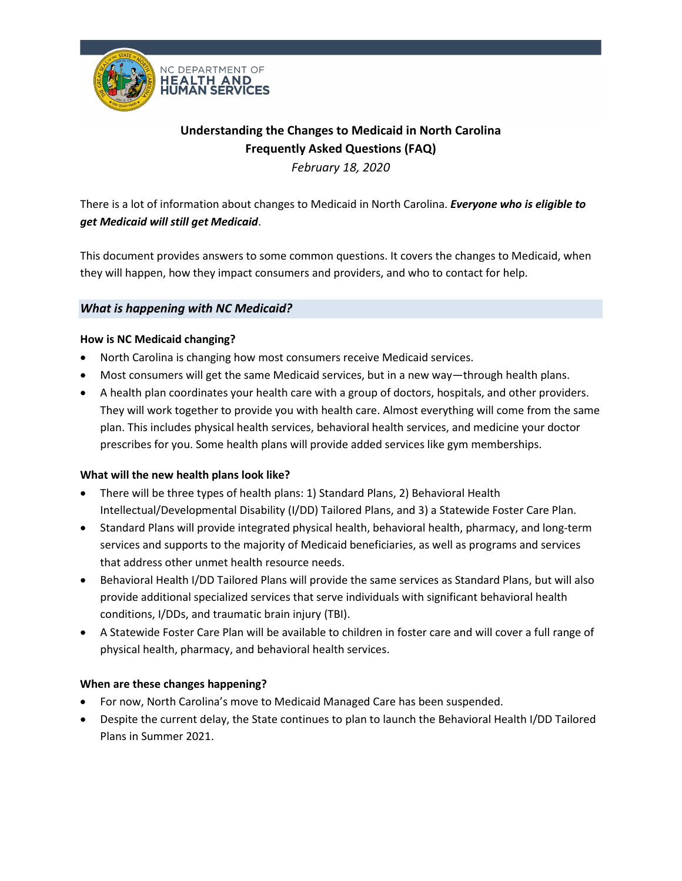

# **Understanding the Changes to Medicaid in North Carolina Frequently Asked Questions (FAQ)**

*February 18, 2020*

There is a lot of information about changes to Medicaid in North Carolina. *Everyone who is eligible to get Medicaid will still get Medicaid*.

This document provides answers to some common questions. It covers the changes to Medicaid, when they will happen, how they impact consumers and providers, and who to contact for help.

# *What is happening with NC Medicaid?*

# **How is NC Medicaid changing?**

- North Carolina is changing how most consumers receive Medicaid services.
- Most consumers will get the same Medicaid services, but in a new way—through health plans.
- A health plan coordinates your health care with a group of doctors, hospitals, and other providers. They will work together to provide you with health care. Almost everything will come from the same plan. This includes physical health services, behavioral health services, and medicine your doctor prescribes for you. Some health plans will provide added services like gym memberships.

# **What will the new health plans look like?**

- There will be three types of health plans: 1) Standard Plans, 2) Behavioral Health Intellectual/Developmental Disability (I/DD) Tailored Plans, and 3) a Statewide Foster Care Plan.
- Standard Plans will provide integrated physical health, behavioral health, pharmacy, and long-term services and supports to the majority of Medicaid beneficiaries, as well as programs and services that address other unmet health resource needs.
- Behavioral Health I/DD Tailored Plans will provide the same services as Standard Plans, but will also provide additional specialized services that serve individuals with significant behavioral health conditions, I/DDs, and traumatic brain injury (TBI).
- A Statewide Foster Care Plan will be available to children in foster care and will cover a full range of physical health, pharmacy, and behavioral health services.

# **When are these changes happening?**

- For now, North Carolina's move to Medicaid Managed Care has been suspended.
- Despite the current delay, the State continues to plan to launch the Behavioral Health I/DD Tailored Plans in Summer 2021.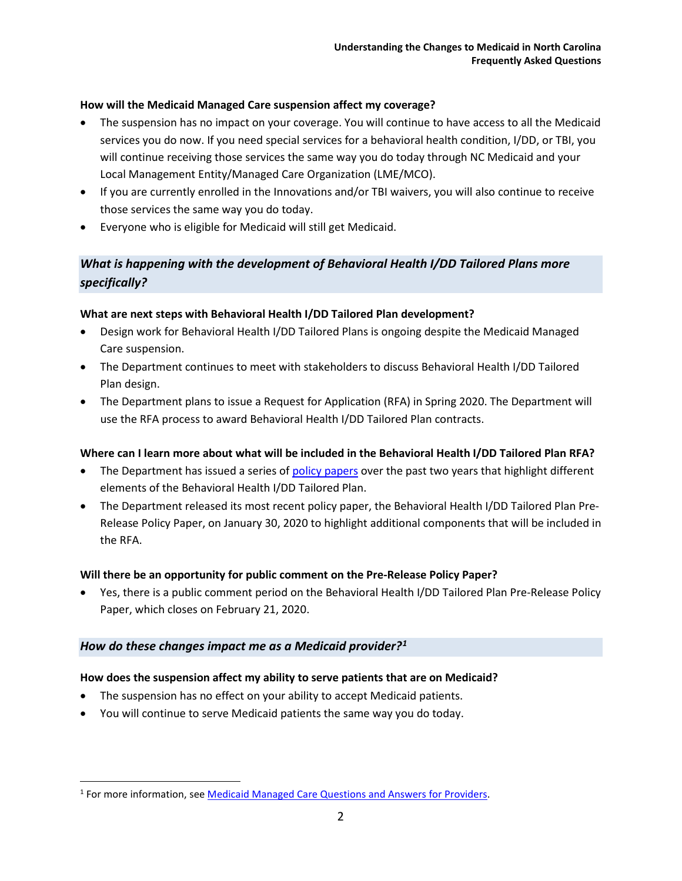#### **How will the Medicaid Managed Care suspension affect my coverage?**

- The suspension has no impact on your coverage. You will continue to have access to all the Medicaid services you do now. If you need special services for a behavioral health condition, I/DD, or TBI, you will continue receiving those services the same way you do today through NC Medicaid and your Local Management Entity/Managed Care Organization (LME/MCO).
- If you are currently enrolled in the Innovations and/or TBI waivers, you will also continue to receive those services the same way you do today.
- Everyone who is eligible for Medicaid will still get Medicaid.

# *What is happening with the development of Behavioral Health I/DD Tailored Plans more specifically?*

#### **What are next steps with Behavioral Health I/DD Tailored Plan development?**

- Design work for Behavioral Health I/DD Tailored Plans is ongoing despite the Medicaid Managed Care suspension.
- The Department continues to meet with stakeholders to discuss Behavioral Health I/DD Tailored Plan design.
- The Department plans to issue a Request for Application (RFA) in Spring 2020. The Department will use the RFA process to award Behavioral Health I/DD Tailored Plan contracts.

# **Where can I learn more about what will be included in the Behavioral Health I/DD Tailored Plan RFA?**

- The Department has issued a series o[f policy papers](https://www.ncdhhs.gov/assistance/medicaid-transformation/proposed-program-design/policy-papers) over the past two years that highlight different elements of the Behavioral Health I/DD Tailored Plan.
- The Department released its most recent policy paper, the Behavioral Health I/DD Tailored Plan Pre-Release Policy Paper, on January 30, 2020 to highlight additional components that will be included in the RFA.

# **Will there be an opportunity for public comment on the Pre-Release Policy Paper?**

• Yes, there is a public comment period on the Behavioral Health I/DD Tailored Plan Pre-Release Policy Paper, which closes on February 21, 2020.

# *How do these changes impact me as a Medicaid provider?[1](#page-1-0)*

#### **How does the suspension affect my ability to serve patients that are on Medicaid?**

- The suspension has no effect on your ability to accept Medicaid patients.
- You will continue to serve Medicaid patients the same way you do today.

<span id="page-1-0"></span><sup>1</sup> For more information, see [Medicaid Managed Care Questions and Answers for Providers.](https://files.nc.gov/ncdma/ManagedCareSuspension-ProviderQA-20191122.pdf)